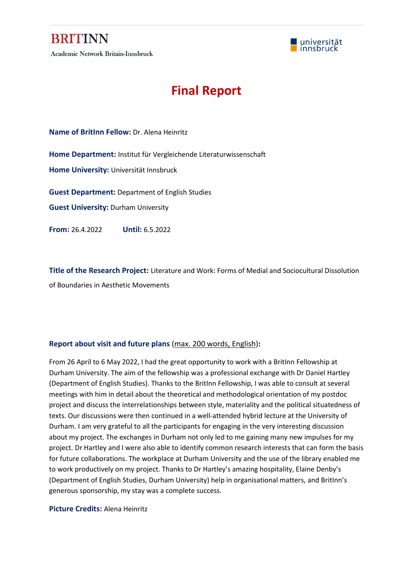

## **Final Report**

**Name of BritInn Fellow:** Dr. Alena Heinritz

**Home Department:** Institut für Vergleichende Literaturwissenschaft

**Home University:** Universität Innsbruck

**Guest Department:** Department of English Studies

**Guest University:** Durham University

**From:** 26.4.2022 **Until:** 6.5.2022

**Title of the Research Project:** Literature and Work: Forms of Medial and Sociocultural Dissolution of Boundaries in Aesthetic Movements

## **Report about visit and future plans** (max. 200 words, English)**:**

From 26 April to 6 May 2022, I had the great opportunity to work with a BritInn Fellowship at Durham University. The aim of the fellowship was a professional exchange with Dr Daniel Hartley (Department of English Studies). Thanks to the BritInn Fellowship, I was able to consult at several meetings with him in detail about the theoretical and methodological orientation of my postdoc project and discuss the interrelationships between style, materiality and the political situatedness of texts. Our discussions were then continued in a well-attended hybrid lecture at the University of Durham. I am very grateful to all the participants for engaging in the very interesting discussion about my project. The exchanges in Durham not only led to me gaining many new impulses for my project. Dr Hartley and I were also able to identify common research interests that can form the basis for future collaborations. The workplace at Durham University and the use of the library enabled me to work productively on my project. Thanks to Dr Hartley's amazing hospitality, Elaine Denby's (Department of English Studies, Durham University) help in organisational matters, and BritInn's generous sponsorship, my stay was a complete success.

**Picture Credits:** Alena Heinritz